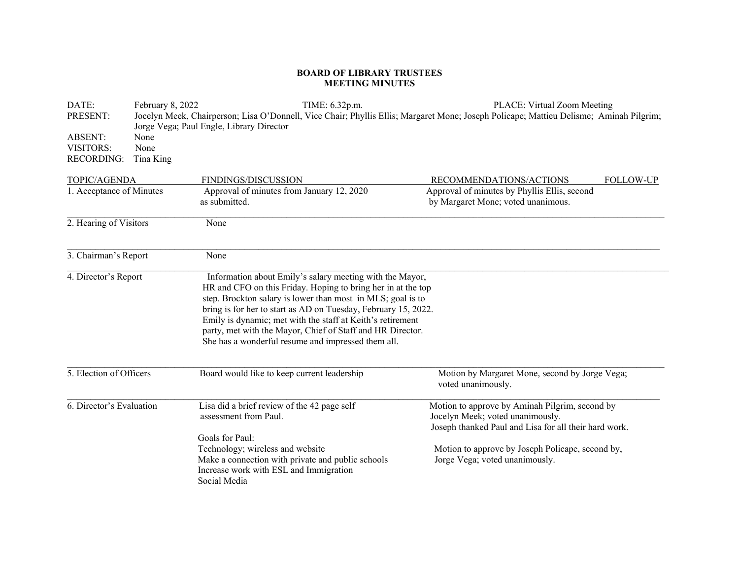## **BOARD OF LIBRARY TRUSTEES MEETING MINUTES**

| DATE:                    | February 8, 2022 | TIME: 6.32p.m.                                                                                                                                                                                                                                                                                                                                                                                                                              | PLACE: Virtual Zoom Meeting                                                                                                                 |
|--------------------------|------------------|---------------------------------------------------------------------------------------------------------------------------------------------------------------------------------------------------------------------------------------------------------------------------------------------------------------------------------------------------------------------------------------------------------------------------------------------|---------------------------------------------------------------------------------------------------------------------------------------------|
| PRESENT:                 |                  | Jorge Vega; Paul Engle, Library Director                                                                                                                                                                                                                                                                                                                                                                                                    | Jocelyn Meek, Chairperson; Lisa O'Donnell, Vice Chair; Phyllis Ellis; Margaret Mone; Joseph Policape; Mattieu Delisme; Aminah Pilgrim;      |
| <b>ABSENT:</b>           | None             |                                                                                                                                                                                                                                                                                                                                                                                                                                             |                                                                                                                                             |
| <b>VISITORS:</b>         | None             |                                                                                                                                                                                                                                                                                                                                                                                                                                             |                                                                                                                                             |
| <b>RECORDING:</b>        | Tina King        |                                                                                                                                                                                                                                                                                                                                                                                                                                             |                                                                                                                                             |
| TOPIC/AGENDA             |                  | <b>FINDINGS/DISCUSSION</b>                                                                                                                                                                                                                                                                                                                                                                                                                  | RECOMMENDATIONS/ACTIONS<br><b>FOLLOW-UP</b>                                                                                                 |
| 1. Acceptance of Minutes |                  | Approval of minutes from January 12, 2020                                                                                                                                                                                                                                                                                                                                                                                                   | Approval of minutes by Phyllis Ellis, second                                                                                                |
|                          |                  | as submitted.                                                                                                                                                                                                                                                                                                                                                                                                                               | by Margaret Mone; voted unanimous.                                                                                                          |
| 2. Hearing of Visitors   |                  | None                                                                                                                                                                                                                                                                                                                                                                                                                                        |                                                                                                                                             |
| 3. Chairman's Report     |                  | None                                                                                                                                                                                                                                                                                                                                                                                                                                        |                                                                                                                                             |
| 4. Director's Report     |                  | Information about Emily's salary meeting with the Mayor,<br>HR and CFO on this Friday. Hoping to bring her in at the top<br>step. Brockton salary is lower than most in MLS; goal is to<br>bring is for her to start as AD on Tuesday, February 15, 2022.<br>Emily is dynamic; met with the staff at Keith's retirement<br>party, met with the Mayor, Chief of Staff and HR Director.<br>She has a wonderful resume and impressed them all. |                                                                                                                                             |
| 5. Election of Officers  |                  | Board would like to keep current leadership                                                                                                                                                                                                                                                                                                                                                                                                 | Motion by Margaret Mone, second by Jorge Vega;<br>voted unanimously.                                                                        |
| 6. Director's Evaluation |                  | Lisa did a brief review of the 42 page self<br>assessment from Paul.                                                                                                                                                                                                                                                                                                                                                                        | Motion to approve by Aminah Pilgrim, second by<br>Jocelyn Meek; voted unanimously.<br>Joseph thanked Paul and Lisa for all their hard work. |
|                          |                  | Goals for Paul:                                                                                                                                                                                                                                                                                                                                                                                                                             |                                                                                                                                             |
|                          |                  | Technology; wireless and website                                                                                                                                                                                                                                                                                                                                                                                                            | Motion to approve by Joseph Policape, second by,                                                                                            |
|                          |                  | Make a connection with private and public schools                                                                                                                                                                                                                                                                                                                                                                                           | Jorge Vega; voted unanimously.                                                                                                              |
|                          |                  | Increase work with ESL and Immigration<br>Social Media                                                                                                                                                                                                                                                                                                                                                                                      |                                                                                                                                             |